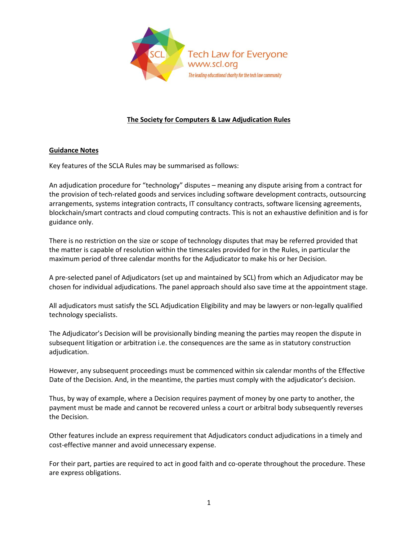

# **The Society for Computers & Law Adjudication Rules**

## **Guidance Notes**

Key features of the SCLA Rules may be summarised as follows:

An adjudication procedure for "technology" disputes – meaning any dispute arising from a contract for the provision of tech-related goods and services including software development contracts, outsourcing arrangements, systems integration contracts, IT consultancy contracts, software licensing agreements, blockchain/smart contracts and cloud computing contracts. This is not an exhaustive definition and is for guidance only.

There is no restriction on the size or scope of technology disputes that may be referred provided that the matter is capable of resolution within the timescales provided for in the Rules, in particular the maximum period of three calendar months for the Adjudicator to make his or her Decision.

A pre-selected panel of Adjudicators (set up and maintained by SCL) from which an Adjudicator may be chosen for individual adjudications. The panel approach should also save time at the appointment stage.

All adjudicators must satisfy the SCL Adjudication Eligibility and may be lawyers or non-legally qualified technology specialists.

The Adjudicator's Decision will be provisionally binding meaning the parties may reopen the dispute in subsequent litigation or arbitration i.e. the consequences are the same as in statutory construction adjudication.

However, any subsequent proceedings must be commenced within six calendar months of the Effective Date of the Decision. And, in the meantime, the parties must comply with the adjudicator's decision.

Thus, by way of example, where a Decision requires payment of money by one party to another, the payment must be made and cannot be recovered unless a court or arbitral body subsequently reverses the Decision.

Other features include an express requirement that Adjudicators conduct adjudications in a timely and cost-effective manner and avoid unnecessary expense.

For their part, parties are required to act in good faith and co-operate throughout the procedure. These are express obligations.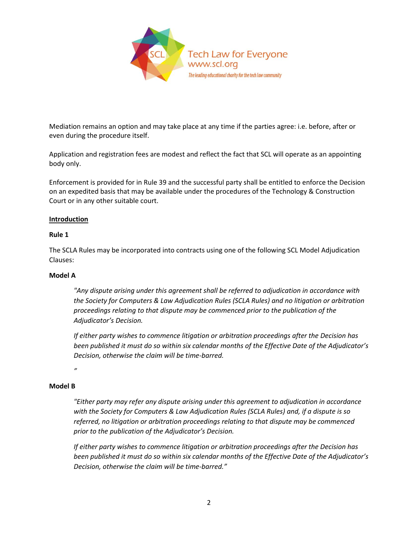

Mediation remains an option and may take place at any time if the parties agree: i.e. before, after or even during the procedure itself.

Application and registration fees are modest and reflect the fact that SCL will operate as an appointing body only.

Enforcement is provided for in Rule 39 and the successful party shall be entitled to enforce the Decision on an expedited basis that may be available under the procedures of the Technology & Construction Court or in any other suitable court.

### **Introduction**

### **Rule 1**

The SCLA Rules may be incorporated into contracts using one of the following SCL Model Adjudication Clauses:

### **Model A**

*"Any dispute arising under this agreement shall be referred to adjudication in accordance with the Society for Computers & Law Adjudication Rules (SCLA Rules) and no litigation or arbitration proceedings relating to that dispute may be commenced prior to the publication of the Adjudicator's Decision.*

*If either party wishes to commence litigation or arbitration proceedings after the Decision has been published it must do so within six calendar months of the Effective Date of the Adjudicator's Decision, otherwise the claim will be time-barred.* 

*"* 

### **Model B**

*"Either party may refer any dispute arising under this agreement to adjudication in accordance with the Society for Computers & Law Adjudication Rules (SCLA Rules) and, if a dispute is so referred, no litigation or arbitration proceedings relating to that dispute may be commenced prior to the publication of the Adjudicator's Decision.*

*If either party wishes to commence litigation or arbitration proceedings after the Decision has been published it must do so within six calendar months of the Effective Date of the Adjudicator's Decision, otherwise the claim will be time-barred."*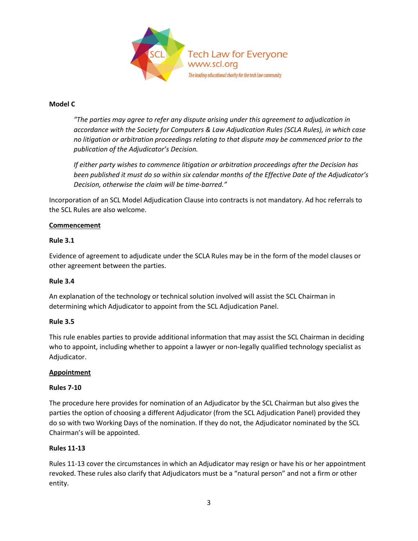

### **Model C**

*"The parties may agree to refer any dispute arising under this agreement to adjudication in accordance with the Society for Computers & Law Adjudication Rules (SCLA Rules), in which case no litigation or arbitration proceedings relating to that dispute may be commenced prior to the publication of the Adjudicator's Decision.*

*If either party wishes to commence litigation or arbitration proceedings after the Decision has been published it must do so within six calendar months of the Effective Date of the Adjudicator's Decision, otherwise the claim will be time-barred."* 

Incorporation of an SCL Model Adjudication Clause into contracts is not mandatory. Ad hoc referrals to the SCL Rules are also welcome.

## **Commencement**

## **Rule 3.1**

Evidence of agreement to adjudicate under the SCLA Rules may be in the form of the model clauses or other agreement between the parties.

### **Rule 3.4**

An explanation of the technology or technical solution involved will assist the SCL Chairman in determining which Adjudicator to appoint from the SCL Adjudication Panel.

# **Rule 3.5**

This rule enables parties to provide additional information that may assist the SCL Chairman in deciding who to appoint, including whether to appoint a lawyer or non-legally qualified technology specialist as Adjudicator.

### **Appointment**

### **Rules 7-10**

The procedure here provides for nomination of an Adjudicator by the SCL Chairman but also gives the parties the option of choosing a different Adjudicator (from the SCL Adjudication Panel) provided they do so with two Working Days of the nomination. If they do not, the Adjudicator nominated by the SCL Chairman's will be appointed.

### **Rules 11-13**

Rules 11-13 cover the circumstances in which an Adjudicator may resign or have his or her appointment revoked. These rules also clarify that Adjudicators must be a "natural person" and not a firm or other entity.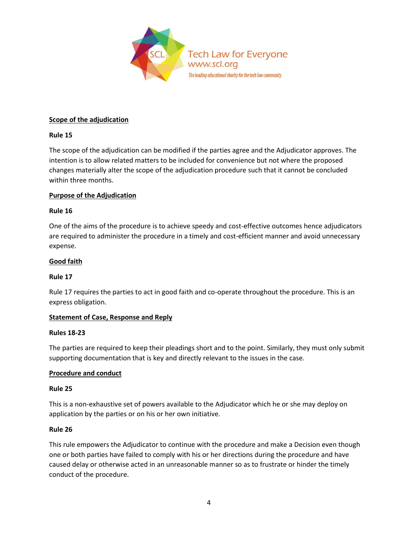

### **Scope of the adjudication**

## **Rule 15**

The scope of the adjudication can be modified if the parties agree and the Adjudicator approves. The intention is to allow related matters to be included for convenience but not where the proposed changes materially alter the scope of the adjudication procedure such that it cannot be concluded within three months.

## **Purpose of the Adjudication**

### **Rule 16**

One of the aims of the procedure is to achieve speedy and cost-effective outcomes hence adjudicators are required to administer the procedure in a timely and cost-efficient manner and avoid unnecessary expense.

## **Good faith**

### **Rule 17**

Rule 17 requires the parties to act in good faith and co-operate throughout the procedure. This is an express obligation.

# **Statement of Case, Response and Reply**

### **Rules 18-23**

The parties are required to keep their pleadings short and to the point. Similarly, they must only submit supporting documentation that is key and directly relevant to the issues in the case.

# **Procedure and conduct**

### **Rule 25**

This is a non-exhaustive set of powers available to the Adjudicator which he or she may deploy on application by the parties or on his or her own initiative.

### **Rule 26**

This rule empowers the Adjudicator to continue with the procedure and make a Decision even though one or both parties have failed to comply with his or her directions during the procedure and have caused delay or otherwise acted in an unreasonable manner so as to frustrate or hinder the timely conduct of the procedure.